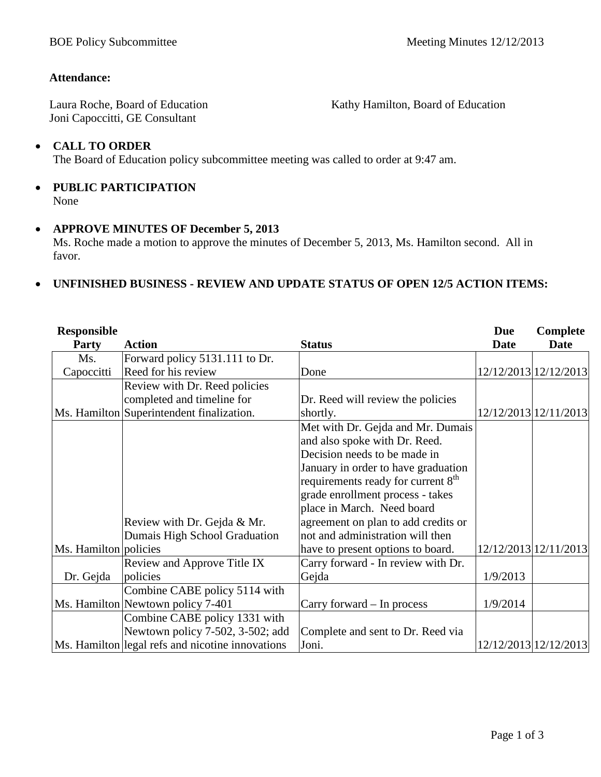Kathy Hamilton, Board of Education

#### **Attendance:**

Laura Roche, Board of Education Joni Capoccitti, GE Consultant

#### • **CALL TO ORDER**

The Board of Education policy subcommittee meeting was called to order at 9:47 am.

#### • **PUBLIC PARTICIPATION** None

#### • **APPROVE MINUTES OF December 5, 2013**

Ms. Roche made a motion to approve the minutes of December 5, 2013, Ms. Hamilton second. All in favor.

#### • **UNFINISHED BUSINESS - REVIEW AND UPDATE STATUS OF OPEN 12/5 ACTION ITEMS:**

| <b>Responsible</b>    |                                                  |                                                | <b>Due</b>  | Complete              |
|-----------------------|--------------------------------------------------|------------------------------------------------|-------------|-----------------------|
| <b>Party</b>          | <b>Action</b>                                    | <b>Status</b>                                  | <b>Date</b> | <b>Date</b>           |
| Ms.                   | Forward policy 5131.111 to Dr.                   |                                                |             |                       |
| Capoccitti            | Reed for his review                              | Done                                           |             | 12/12/2013 12/12/2013 |
|                       | Review with Dr. Reed policies                    |                                                |             |                       |
|                       | completed and timeline for                       | Dr. Reed will review the policies              |             |                       |
|                       | Ms. Hamilton Superintendent finalization.        | shortly.                                       |             | 12/12/2013 12/11/2013 |
|                       |                                                  | Met with Dr. Gejda and Mr. Dumais              |             |                       |
|                       |                                                  | and also spoke with Dr. Reed.                  |             |                       |
|                       |                                                  | Decision needs to be made in                   |             |                       |
|                       |                                                  | January in order to have graduation            |             |                       |
|                       |                                                  | requirements ready for current 8 <sup>th</sup> |             |                       |
|                       |                                                  | grade enrollment process - takes               |             |                       |
|                       |                                                  | place in March. Need board                     |             |                       |
|                       | Review with Dr. Gejda & Mr.                      | agreement on plan to add credits or            |             |                       |
|                       | Dumais High School Graduation                    | not and administration will then               |             |                       |
| Ms. Hamilton policies |                                                  | have to present options to board.              |             | 12/12/2013 12/11/2013 |
|                       | Review and Approve Title IX                      | Carry forward - In review with Dr.             |             |                       |
| Dr. Gejda             | policies                                         | Gejda                                          | 1/9/2013    |                       |
|                       | Combine CABE policy 5114 with                    |                                                |             |                       |
|                       | Ms. Hamilton Newtown policy 7-401                | Carry forward – In process                     | 1/9/2014    |                       |
|                       | Combine CABE policy 1331 with                    |                                                |             |                       |
|                       | Newtown policy 7-502, 3-502; add                 | Complete and sent to Dr. Reed via              |             |                       |
|                       | Ms. Hamilton legal refs and nicotine innovations | Joni.                                          |             | 12/12/2013 12/12/2013 |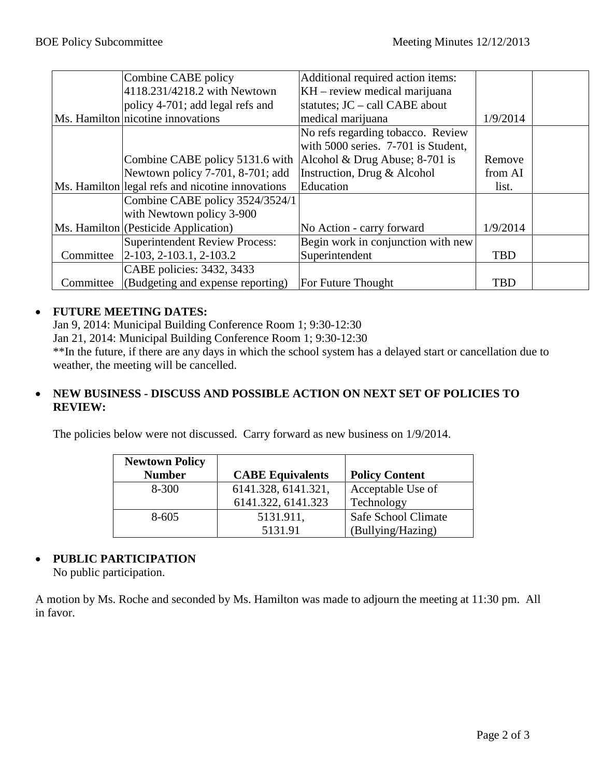|           | Combine CABE policy                              | Additional required action items:   |            |  |
|-----------|--------------------------------------------------|-------------------------------------|------------|--|
|           | 4118.231/4218.2 with Newtown                     | KH – review medical marijuana       |            |  |
|           | policy $4-701$ ; add legal refs and              | statutes; $JC - call CABE$ about    |            |  |
|           | Ms. Hamilton nicotine innovations                | medical marijuana                   | 1/9/2014   |  |
|           |                                                  | No refs regarding tobacco. Review   |            |  |
|           |                                                  | with 5000 series. 7-701 is Student, |            |  |
|           | Combine CABE policy 5131.6 with                  | Alcohol & Drug Abuse; 8-701 is      | Remove     |  |
|           | Newtown policy 7-701, 8-701; add                 | Instruction, Drug & Alcohol         | from AI    |  |
|           | Ms. Hamilton legal refs and nicotine innovations | Education                           | list.      |  |
|           | Combine CABE policy 3524/3524/1                  |                                     |            |  |
|           | with Newtown policy 3-900                        |                                     |            |  |
|           | Ms. Hamilton (Pesticide Application)             | No Action - carry forward           | 1/9/2014   |  |
|           | Superintendent Review Process:                   | Begin work in conjunction with new  |            |  |
|           | Committee 2-103, 2-103.1, 2-103.2                | Superintendent                      | <b>TBD</b> |  |
|           | CABE policies: 3432, 3433                        |                                     |            |  |
| Committee | (Budgeting and expense reporting)                | For Future Thought                  | <b>TBD</b> |  |

#### • **FUTURE MEETING DATES:**

Jan 9, 2014: Municipal Building Conference Room 1; 9:30-12:30

Jan 21, 2014: Municipal Building Conference Room 1; 9:30-12:30

\*\*In the future, if there are any days in which the school system has a delayed start or cancellation due to weather, the meeting will be cancelled.

### • **NEW BUSINESS - DISCUSS AND POSSIBLE ACTION ON NEXT SET OF POLICIES TO REVIEW:**

The policies below were not discussed. Carry forward as new business on 1/9/2014.

| <b>Newtown Policy</b> |                         |                       |
|-----------------------|-------------------------|-----------------------|
| <b>Number</b>         | <b>CABE Equivalents</b> | <b>Policy Content</b> |
| $8 - 300$             | 6141.328, 6141.321,     | Acceptable Use of     |
|                       | 6141.322, 6141.323      | Technology            |
| $8 - 605$             | 5131.911,               | Safe School Climate   |
|                       | 5131.91                 | (Bullying/Hazing)     |

## • **PUBLIC PARTICIPATION**

No public participation.

A motion by Ms. Roche and seconded by Ms. Hamilton was made to adjourn the meeting at 11:30 pm. All in favor.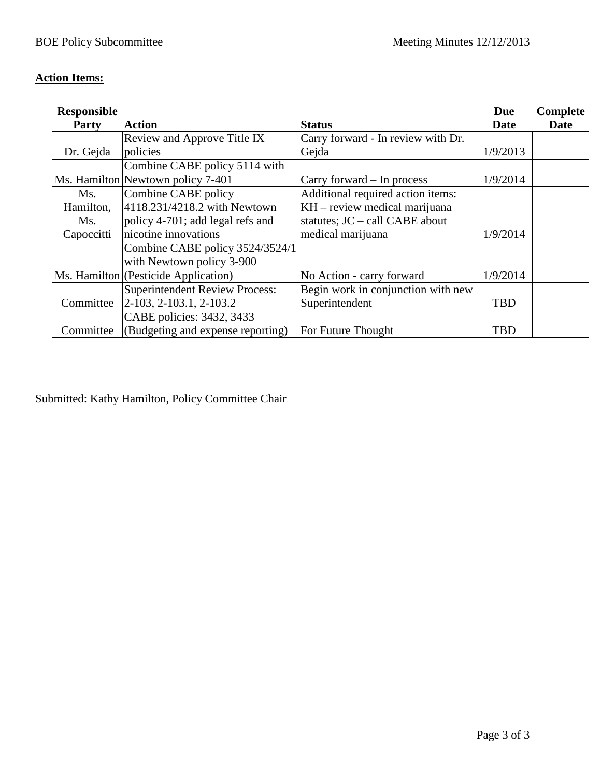# **Action Items:**

| <b>Responsible</b> |                                       |                                    | <b>Due</b>  | Complete |
|--------------------|---------------------------------------|------------------------------------|-------------|----------|
| <b>Party</b>       | <b>Action</b>                         | <b>Status</b>                      | <b>Date</b> | Date     |
|                    | Review and Approve Title IX           | Carry forward - In review with Dr. |             |          |
| Dr. Gejda          | policies                              | Gejda                              | 1/9/2013    |          |
|                    | Combine CABE policy 5114 with         |                                    |             |          |
|                    | Ms. Hamilton Newtown policy 7-401     | Carry forward – In process         | 1/9/2014    |          |
| Ms.                | Combine CABE policy                   | Additional required action items:  |             |          |
| Hamilton,          | 4118.231/4218.2 with Newtown          | $KH$ – review medical marijuana    |             |          |
| Ms.                | policy 4-701; add legal refs and      | statutes; $JC - call CABE$ about   |             |          |
| Capoccitti         | nicotine innovations                  | medical marijuana                  | 1/9/2014    |          |
|                    | Combine CABE policy 3524/3524/1       |                                    |             |          |
|                    | with Newtown policy 3-900             |                                    |             |          |
|                    | Ms. Hamilton (Pesticide Application)  | No Action - carry forward          | 1/9/2014    |          |
|                    | <b>Superintendent Review Process:</b> | Begin work in conjunction with new |             |          |
| Committee          | $[2-103, 2-103.1, 2-103.2]$           | Superintendent                     | <b>TBD</b>  |          |
|                    | CABE policies: 3432, 3433             |                                    |             |          |
| Committee          | (Budgeting and expense reporting)     | For Future Thought                 | <b>TBD</b>  |          |

Submitted: Kathy Hamilton, Policy Committee Chair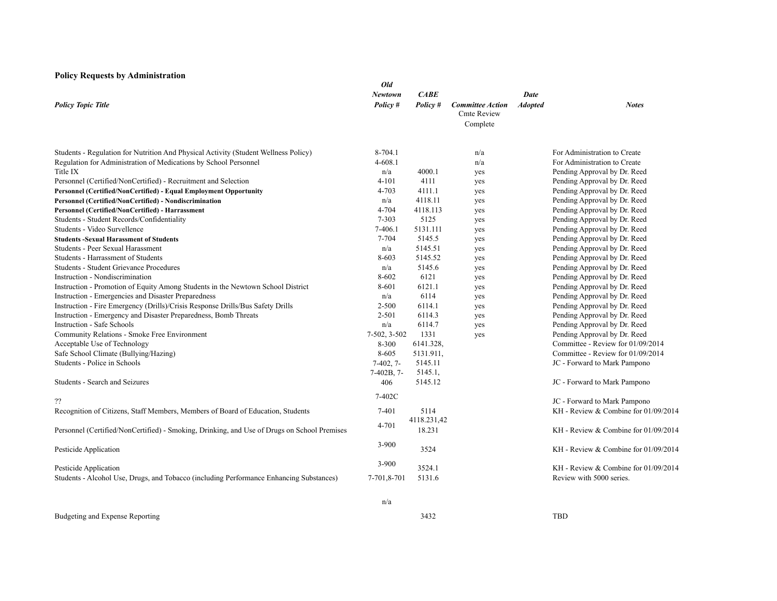#### **Policy Requests by Administration**

|                                                                                             | Old                 |                       |                                               |                        |                                        |
|---------------------------------------------------------------------------------------------|---------------------|-----------------------|-----------------------------------------------|------------------------|----------------------------------------|
| <b>Policy Topic Title</b>                                                                   | Newtown<br>Policy # | CABE<br>Policy #      | <b>Committee Action</b><br><b>Cmte Review</b> | Date<br><b>Adopted</b> | <b>Notes</b>                           |
|                                                                                             |                     |                       | Complete                                      |                        |                                        |
| Students - Regulation for Nutrition And Physical Activity (Student Wellness Policy)         | 8-704.1             |                       | n/a                                           |                        | For Administration to Create           |
| Regulation for Administration of Medications by School Personnel                            | $4 - 608.1$         |                       | n/a                                           |                        | For Administration to Create           |
| Title IX                                                                                    | n/a                 | 4000.1                | yes                                           |                        | Pending Approval by Dr. Reed           |
| Personnel (Certified/NonCertified) - Recruitment and Selection                              | $4 - 101$           | 4111                  | yes                                           |                        | Pending Approval by Dr. Reed           |
| Personnel (Certified/NonCertified) - Equal Employment Opportunity                           | $4 - 703$           | 4111.1                | yes                                           |                        | Pending Approval by Dr. Reed           |
| Personnel (Certified/NonCertified) - Nondiscrimination                                      | n/a                 | 4118.11               | yes                                           |                        | Pending Approval by Dr. Reed           |
| Personnel (Certified/NonCertified) - Harrassment                                            | 4-704               | 4118.113              | yes                                           |                        | Pending Approval by Dr. Reed           |
| Students - Student Records/Confidentiality                                                  | $7 - 303$           | 5125                  | yes                                           |                        | Pending Approval by Dr. Reed           |
| Students - Video Survellence                                                                | 7-406.1             | 5131.111              | yes                                           |                        | Pending Approval by Dr. Reed           |
| <b>Students -Sexual Harassment of Students</b>                                              | 7-704               | 5145.5                | yes                                           |                        | Pending Approval by Dr. Reed           |
| Students - Peer Sexual Harassment                                                           | n/a                 | 5145.51               | yes                                           |                        | Pending Approval by Dr. Reed           |
| Students - Harrassment of Students                                                          | 8-603               | 5145.52               | yes                                           |                        | Pending Approval by Dr. Reed           |
| <b>Students - Student Grievance Procedures</b>                                              | n/a                 | 5145.6                | yes                                           |                        | Pending Approval by Dr. Reed           |
| Instruction - Nondiscrimination                                                             | 8-602               | 6121                  | yes                                           |                        | Pending Approval by Dr. Reed           |
| Instruction - Promotion of Equity Among Students in the Newtown School District             | 8-601               | 6121.1                | yes                                           |                        | Pending Approval by Dr. Reed           |
| Instruction - Emergencies and Disaster Preparedness                                         | n/a                 | 6114                  | yes                                           |                        | Pending Approval by Dr. Reed           |
| Instruction - Fire Emergency (Drills)/Crisis Response Drills/Bus Safety Drills              | 2-500               | 6114.1                | yes                                           |                        | Pending Approval by Dr. Reed           |
| Instruction - Emergency and Disaster Preparedness, Bomb Threats                             | 2-501               | 6114.3                | yes                                           |                        | Pending Approval by Dr. Reed           |
| <b>Instruction - Safe Schools</b>                                                           | n/a                 | 6114.7                | yes                                           |                        | Pending Approval by Dr. Reed           |
| Community Relations - Smoke Free Environment                                                | $7-502, 3-502$      | 1331                  | yes                                           |                        | Pending Approval by Dr. Reed           |
| Acceptable Use of Technology                                                                | 8-300               | 6141.328,             |                                               |                        | Committee - Review for 01/09/2014      |
| Safe School Climate (Bullying/Hazing)                                                       | 8-605               | 5131.911,             |                                               |                        | Committee - Review for 01/09/2014      |
| Students - Police in Schools                                                                | $7-402, 7-$         | 5145.11               |                                               |                        | JC - Forward to Mark Pampono           |
|                                                                                             | $7-402B, 7-$        | 5145.1,               |                                               |                        |                                        |
| Students - Search and Seizures                                                              | 406                 | 5145.12               |                                               |                        | JC - Forward to Mark Pampono           |
| ??                                                                                          | 7-402C              |                       |                                               |                        | JC - Forward to Mark Pampono           |
| Recognition of Citizens, Staff Members, Members of Board of Education, Students             | 7-401               | 5114                  |                                               |                        | KH - Review & Combine for 01/09/2014   |
| Personnel (Certified/NonCertified) - Smoking, Drinking, and Use of Drugs on School Premises | 4-701               | 4118.231,42<br>18.231 |                                               |                        | KH - Review & Combine for $01/09/2014$ |
|                                                                                             | $3 - 900$           |                       |                                               |                        |                                        |
| Pesticide Application                                                                       |                     | 3524                  |                                               |                        | KH - Review & Combine for 01/09/2014   |
| Pesticide Application                                                                       | 3-900               | 3524.1                |                                               |                        | KH - Review & Combine for 01/09/2014   |
| Students - Alcohol Use, Drugs, and Tobacco (including Performance Enhancing Substances)     | 7-701,8-701         | 5131.6                |                                               |                        | Review with 5000 series.               |
|                                                                                             |                     |                       |                                               |                        |                                        |

Budgeting and Expense Reporting

n/a